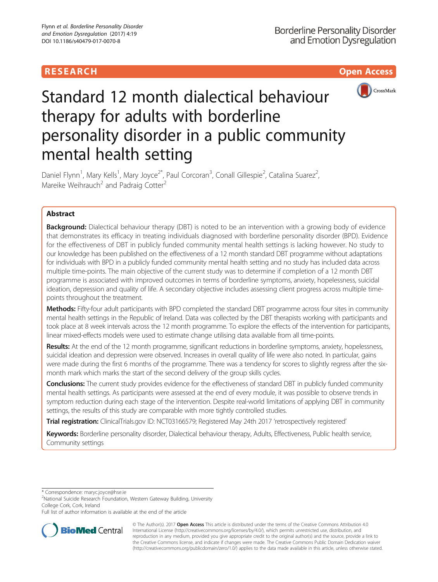# **RESEARCH CHILD CONTROL** CONTROL CONTROL CONTROL CONTROL CONTROL CONTROL CONTROL CONTROL CONTROL CONTROL CONTROL CONTROL CONTROL CONTROL CONTROL CONTROL CONTROL CONTROL CONTROL CONTROL CONTROL CONTROL CONTROL CONTROL CONTR



# Standard 12 month dialectical behaviour therapy for adults with borderline personality disorder in a public community mental health setting

Daniel Flynn<sup>1</sup>, Mary Kells<sup>1</sup>, Mary Joyce<sup>2\*</sup>, Paul Corcoran<sup>3</sup>, Conall Gillespie<sup>2</sup>, Catalina Suarez<sup>2</sup> , Mareike Weihrauch<sup>2</sup> and Padraig Cotter<sup>2</sup>

## Abstract

**Background:** Dialectical behaviour therapy (DBT) is noted to be an intervention with a growing body of evidence that demonstrates its efficacy in treating individuals diagnosed with borderline personality disorder (BPD). Evidence for the effectiveness of DBT in publicly funded community mental health settings is lacking however. No study to our knowledge has been published on the effectiveness of a 12 month standard DBT programme without adaptations for individuals with BPD in a publicly funded community mental health setting and no study has included data across multiple time-points. The main objective of the current study was to determine if completion of a 12 month DBT programme is associated with improved outcomes in terms of borderline symptoms, anxiety, hopelessness, suicidal ideation, depression and quality of life. A secondary objective includes assessing client progress across multiple timepoints throughout the treatment.

Methods: Fifty-four adult participants with BPD completed the standard DBT programme across four sites in community mental health settings in the Republic of Ireland. Data was collected by the DBT therapists working with participants and took place at 8 week intervals across the 12 month programme. To explore the effects of the intervention for participants, linear mixed-effects models were used to estimate change utilising data available from all time-points.

Results: At the end of the 12 month programme, significant reductions in borderline symptoms, anxiety, hopelessness, suicidal ideation and depression were observed. Increases in overall quality of life were also noted. In particular, gains were made during the first 6 months of the programme. There was a tendency for scores to slightly regress after the sixmonth mark which marks the start of the second delivery of the group skills cycles.

**Conclusions:** The current study provides evidence for the effectiveness of standard DBT in publicly funded community mental health settings. As participants were assessed at the end of every module, it was possible to observe trends in symptom reduction during each stage of the intervention. Despite real-world limitations of applying DBT in community settings, the results of this study are comparable with more tightly controlled studies.

Trial registration: ClinicalTrials.gov ID: [NCT03166579;](https://www.clinicaltrials.gov/) Registered May 24th 2017 'retrospectively registered'

Keywords: Borderline personality disorder, Dialectical behaviour therapy, Adults, Effectiveness, Public health service, Community settings

\* Correspondence: [maryc.joyce@hse.ie](mailto:maryc.joyce@hse.ie) <sup>2</sup>

<sup>2</sup>National Suicide Research Foundation, Western Gateway Building, University College Cork, Cork, Ireland

Full list of author information is available at the end of the article



© The Author(s). 2017 **Open Access** This article is distributed under the terms of the Creative Commons Attribution 4.0 International License [\(http://creativecommons.org/licenses/by/4.0/](http://creativecommons.org/licenses/by/4.0/)), which permits unrestricted use, distribution, and reproduction in any medium, provided you give appropriate credit to the original author(s) and the source, provide a link to the Creative Commons license, and indicate if changes were made. The Creative Commons Public Domain Dedication waiver [\(http://creativecommons.org/publicdomain/zero/1.0/](http://creativecommons.org/publicdomain/zero/1.0/)) applies to the data made available in this article, unless otherwise stated.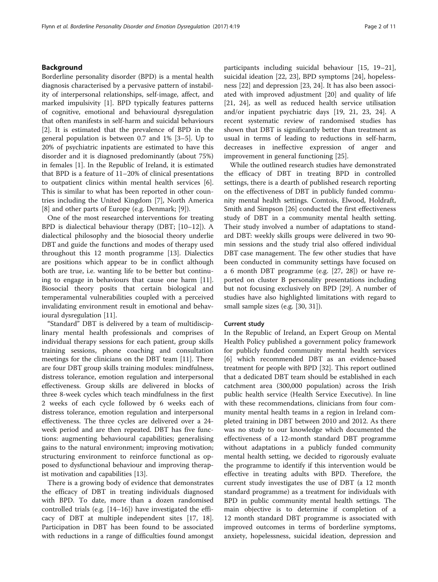## Background

Borderline personality disorder (BPD) is a mental health diagnosis characterised by a pervasive pattern of instability of interpersonal relationships, self-image, affect, and marked impulsivity [[1](#page-9-0)]. BPD typically features patterns of cognitive, emotional and behavioural dysregulation that often manifests in self-harm and suicidal behaviours [[2\]](#page-9-0). It is estimated that the prevalence of BPD in the general population is between 0.7 and 1% [[3](#page-9-0)–[5](#page-9-0)]. Up to 20% of psychiatric inpatients are estimated to have this disorder and it is diagnosed predominantly (about 75%) in females [\[1](#page-9-0)]. In the Republic of Ireland, it is estimated that BPD is a feature of 11–20% of clinical presentations to outpatient clinics within mental health services [\[6](#page-9-0)]. This is similar to what has been reported in other countries including the United Kingdom [\[7](#page-9-0)], North America [[8\]](#page-9-0) and other parts of Europe (e.g. Denmark; [[9\]](#page-9-0)).

One of the most researched interventions for treating BPD is dialectical behaviour therapy (DBT; [\[10](#page-9-0)–[12](#page-9-0)]). A dialectical philosophy and the biosocial theory underlie DBT and guide the functions and modes of therapy used throughout this 12 month programme [[13\]](#page-9-0). Dialectics are positions which appear to be in conflict although both are true, i.e. wanting life to be better but continuing to engage in behaviours that cause one harm [\[11](#page-9-0)]. Biosocial theory posits that certain biological and temperamental vulnerabilities coupled with a perceived invalidating environment result in emotional and behavioural dysregulation [\[11\]](#page-9-0).

"Standard" DBT is delivered by a team of multidisciplinary mental health professionals and comprises of individual therapy sessions for each patient, group skills training sessions, phone coaching and consultation meetings for the clinicians on the DBT team [[11\]](#page-9-0). There are four DBT group skills training modules: mindfulness, distress tolerance, emotion regulation and interpersonal effectiveness. Group skills are delivered in blocks of three 8-week cycles which teach mindfulness in the first 2 weeks of each cycle followed by 6 weeks each of distress tolerance, emotion regulation and interpersonal effectiveness. The three cycles are delivered over a 24 week period and are then repeated. DBT has five functions: augmenting behavioural capabilities; generalising gains to the natural environment; improving motivation; structuring environment to reinforce functional as opposed to dysfunctional behaviour and improving therapist motivation and capabilities [\[13](#page-9-0)].

There is a growing body of evidence that demonstrates the efficacy of DBT in treating individuals diagnosed with BPD. To date, more than a dozen randomised controlled trials (e.g. [[14](#page-9-0)–[16](#page-9-0)]) have investigated the efficacy of DBT at multiple independent sites [\[17](#page-9-0), [18](#page-9-0)]. Participation in DBT has been found to be associated with reductions in a range of difficulties found amongst participants including suicidal behaviour [[15](#page-9-0), [19](#page-9-0)–[21](#page-9-0)], suicidal ideation [\[22, 23](#page-9-0)], BPD symptoms [[24\]](#page-9-0), hopelessness [\[22\]](#page-9-0) and depression [\[23](#page-9-0), [24](#page-9-0)]. It has also been associated with improved adjustment [[20\]](#page-9-0) and quality of life [[21, 24](#page-9-0)], as well as reduced health service utilisation and/or inpatient psychiatric days [[19, 21, 23, 24](#page-9-0)]. A recent systematic review of randomised studies has shown that DBT is significantly better than treatment as usual in terms of leading to reductions in self-harm, decreases in ineffective expression of anger and improvement in general functioning [[25\]](#page-9-0).

While the outlined research studies have demonstrated the efficacy of DBT in treating BPD in controlled settings, there is a dearth of published research reporting on the effectiveness of DBT in publicly funded community mental health settings. Comtois, Elwood, Holdraft, Smith and Simpson [\[26](#page-9-0)] conducted the first effectiveness study of DBT in a community mental health setting. Their study involved a number of adaptations to standard DBT: weekly skills groups were delivered in two 90 min sessions and the study trial also offered individual DBT case management. The few other studies that have been conducted in community settings have focused on a 6 month DBT programme (e.g. [\[27, 28](#page-9-0)]) or have reported on cluster B personality presentations including but not focusing exclusively on BPD [[29\]](#page-9-0). A number of studies have also highlighted limitations with regard to small sample sizes (e.g. [\[30, 31\]](#page-9-0)).

#### Current study

In the Republic of Ireland, an Expert Group on Mental Health Policy published a government policy framework for publicly funded community mental health services [[6\]](#page-9-0) which recommended DBT as an evidence-based treatment for people with BPD [[32](#page-9-0)]. This report outlined that a dedicated DBT team should be established in each catchment area (300,000 population) across the Irish public health service (Health Service Executive). In line with these recommendations, clinicians from four community mental health teams in a region in Ireland completed training in DBT between 2010 and 2012. As there was no study to our knowledge which documented the effectiveness of a 12-month standard DBT programme without adaptations in a publicly funded community mental health setting, we decided to rigorously evaluate the programme to identify if this intervention would be effective in treating adults with BPD. Therefore, the current study investigates the use of DBT (a 12 month standard programme) as a treatment for individuals with BPD in public community mental health settings. The main objective is to determine if completion of a 12 month standard DBT programme is associated with improved outcomes in terms of borderline symptoms, anxiety, hopelessness, suicidal ideation, depression and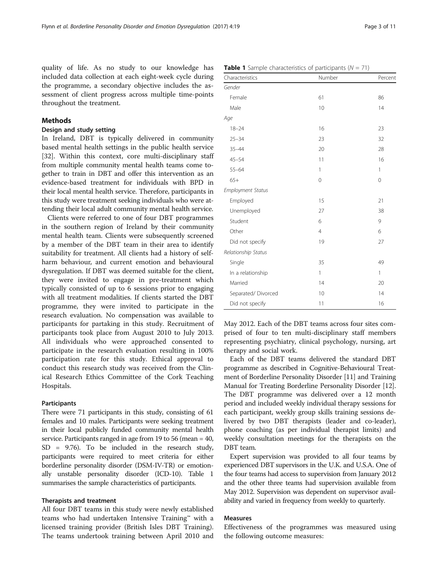quality of life. As no study to our knowledge has included data collection at each eight-week cycle during the programme, a secondary objective includes the assessment of client progress across multiple time-points throughout the treatment.

## Methods

#### Design and study setting

In Ireland, DBT is typically delivered in community based mental health settings in the public health service [[32\]](#page-9-0). Within this context, core multi-disciplinary staff from multiple community mental health teams come together to train in DBT and offer this intervention as an evidence-based treatment for individuals with BPD in their local mental health service. Therefore, participants in this study were treatment seeking individuals who were attending their local adult community mental health service.

Clients were referred to one of four DBT programmes in the southern region of Ireland by their community mental health team. Clients were subsequently screened by a member of the DBT team in their area to identify suitability for treatment. All clients had a history of selfharm behaviour, and current emotion and behavioural dysregulation. If DBT was deemed suitable for the client, they were invited to engage in pre-treatment which typically consisted of up to 6 sessions prior to engaging with all treatment modalities. If clients started the DBT programme, they were invited to participate in the research evaluation. No compensation was available to participants for partaking in this study. Recruitment of participants took place from August 2010 to July 2013. All individuals who were approached consented to participate in the research evaluation resulting in 100% participation rate for this study. Ethical approval to conduct this research study was received from the Clinical Research Ethics Committee of the Cork Teaching Hospitals.

### Participants

There were 71 participants in this study, consisting of 61 females and 10 males. Participants were seeking treatment in their local publicly funded community mental health service. Participants ranged in age from 19 to 56 (mean = 40, SD = 9.76). To be included in the research study, participants were required to meet criteria for either borderline personality disorder (DSM-IV-TR) or emotionally unstable personality disorder (ICD-10). Table 1 summarises the sample characteristics of participants.

## Therapists and treatment

All four DBT teams in this study were newly established teams who had undertaken Intensive Training™ with a licensed training provider (British Isles DBT Training). The teams undertook training between April 2010 and

| Characteristics          | Number         | Percent     |
|--------------------------|----------------|-------------|
| Gender                   |                |             |
| Female                   | 61             | 86          |
| Male                     | 10             | 14          |
| Age                      |                |             |
| $18 - 24$                | 16             | 23          |
| $25 - 34$                | 23             | 32          |
| $35 - 44$                | 20             | 28          |
| $45 - 54$                | 11             | 16          |
| $55 - 64$                | 1              | 1           |
| $65+$                    | $\mathbf 0$    | $\mathbf 0$ |
| <b>Employment Status</b> |                |             |
| Employed                 | 15             | 21          |
| Unemployed               | 27             | 38          |
| Student                  | 6              | 9           |
| Other                    | $\overline{4}$ | 6           |
| Did not specify          | 19             | 27          |
| Relationship Status      |                |             |
| Single                   | 35             | 49          |
| In a relationship        | 1              | 1           |
| Married                  | 14             | 20          |
| Separated/Divorced       | 10             | 14          |
| Did not specify          | 11             | 16          |

May 2012. Each of the DBT teams across four sites comprised of four to ten multi-disciplinary staff members representing psychiatry, clinical psychology, nursing, art therapy and social work.

Each of the DBT teams delivered the standard DBT programme as described in Cognitive-Behavioural Treatment of Borderline Personality Disorder [\[11\]](#page-9-0) and Training Manual for Treating Borderline Personality Disorder [[12](#page-9-0)]. The DBT programme was delivered over a 12 month period and included weekly individual therapy sessions for each participant, weekly group skills training sessions delivered by two DBT therapists (leader and co-leader), phone coaching (as per individual therapist limits) and weekly consultation meetings for the therapists on the DBT team.

Expert supervision was provided to all four teams by experienced DBT supervisors in the U.K. and U.S.A. One of the four teams had access to supervision from January 2012 and the other three teams had supervision available from May 2012. Supervision was dependent on supervisor availability and varied in frequency from weekly to quarterly.

## Measures

Effectiveness of the programmes was measured using the following outcome measures:

**Table 1** Sample characteristics of participants  $(N = 71)$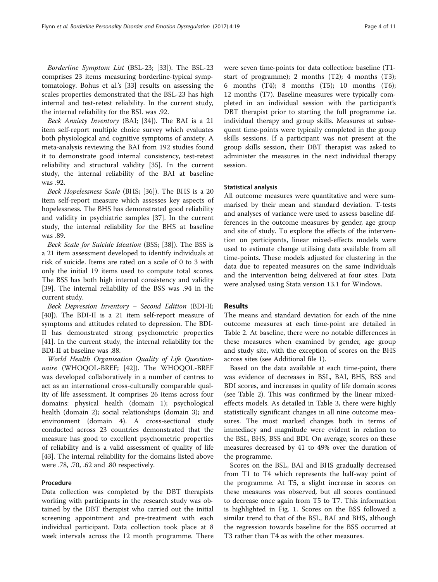Borderline Symptom List (BSL-23; [[33\]](#page-9-0)). The BSL-23 comprises 23 items measuring borderline-typical symptomatology. Bohus et al.'s [[33\]](#page-9-0) results on assessing the scales properties demonstrated that the BSL-23 has high internal and test-retest reliability. In the current study, the internal reliability for the BSL was .92.

Beck Anxiety Inventory (BAI; [[34\]](#page-9-0)). The BAI is a 21 item self-report multiple choice survey which evaluates both physiological and cognitive symptoms of anxiety. A meta-analysis reviewing the BAI from 192 studies found it to demonstrate good internal consistency, test-retest reliability and structural validity [[35](#page-9-0)]. In the current study, the internal reliability of the BAI at baseline was .92.

Beck Hopelessness Scale (BHS; [[36\]](#page-9-0)). The BHS is a 20 item self-report measure which assesses key aspects of hopelessness. The BHS has demonstrated good reliability and validity in psychiatric samples [\[37](#page-9-0)]. In the current study, the internal reliability for the BHS at baseline was .89.

Beck Scale for Suicide Ideation (BSS; [\[38](#page-9-0)]). The BSS is a 21 item assessment developed to identify individuals at risk of suicide. Items are rated on a scale of 0 to 3 with only the initial 19 items used to compute total scores. The BSS has both high internal consistency and validity [[39\]](#page-9-0). The internal reliability of the BSS was .94 in the current study.

Beck Depression Inventory – Second Edition (BDI-II; [[40\]](#page-9-0)). The BDI-II is a 21 item self-report measure of symptoms and attitudes related to depression. The BDI-II has demonstrated strong psychometric properties [[41\]](#page-9-0). In the current study, the internal reliability for the BDI-II at baseline was .88.

World Health Organisation Quality of Life Question-naire (WHOQOL-BREF; [\[42\]](#page-9-0)). The WHOQOL-BREF was developed collaboratively in a number of centres to act as an international cross-culturally comparable quality of life assessment. It comprises 26 items across four domains: physical health (domain 1); psychological health (domain 2); social relationships (domain 3); and environment (domain 4). A cross-sectional study conducted across 23 countries demonstrated that the measure has good to excellent psychometric properties of reliability and is a valid assessment of quality of life [[43\]](#page-9-0). The internal reliability for the domains listed above were .78, .70, .62 and .80 respectively.

## Procedure

Data collection was completed by the DBT therapists working with participants in the research study was obtained by the DBT therapist who carried out the initial screening appointment and pre-treatment with each individual participant. Data collection took place at 8 week intervals across the 12 month programme. There were seven time-points for data collection: baseline (T1 start of programme); 2 months (T2); 4 months (T3); 6 months (T4); 8 months (T5); 10 months (T6); 12 months (T7). Baseline measures were typically completed in an individual session with the participant's DBT therapist prior to starting the full programme i.e. individual therapy and group skills. Measures at subsequent time-points were typically completed in the group skills sessions. If a participant was not present at the group skills session, their DBT therapist was asked to administer the measures in the next individual therapy session.

#### Statistical analysis

All outcome measures were quantitative and were summarised by their mean and standard deviation. T-tests and analyses of variance were used to assess baseline differences in the outcome measures by gender, age group and site of study. To explore the effects of the intervention on participants, linear mixed-effects models were used to estimate change utilising data available from all time-points. These models adjusted for clustering in the data due to repeated measures on the same individuals and the intervention being delivered at four sites. Data were analysed using Stata version 13.1 for Windows.

## Results

The means and standard deviation for each of the nine outcome measures at each time-point are detailed in Table [2.](#page-4-0) At baseline, there were no notable differences in these measures when examined by gender, age group and study site, with the exception of scores on the BHS across sites (see Additional file [1](#page-8-0)).

Based on the data available at each time-point, there was evidence of decreases in BSL, BAI, BHS, BSS and BDI scores, and increases in quality of life domain scores (see Table [2](#page-4-0)). This was confirmed by the linear mixedeffects models. As detailed in Table [3,](#page-5-0) there were highly statistically significant changes in all nine outcome measures. The most marked changes both in terms of immediacy and magnitude were evident in relation to the BSL, BHS, BSS and BDI. On average, scores on these measures decreased by 41 to 49% over the duration of the programme.

Scores on the BSL, BAI and BHS gradually decreased from T1 to T4 which represents the half-way point of the programme. At T5, a slight increase in scores on these measures was observed, but all scores continued to decrease once again from T5 to T7. This information is highlighted in Fig. [1](#page-6-0). Scores on the BSS followed a similar trend to that of the BSL, BAI and BHS, although the regression towards baseline for the BSS occurred at T3 rather than T4 as with the other measures.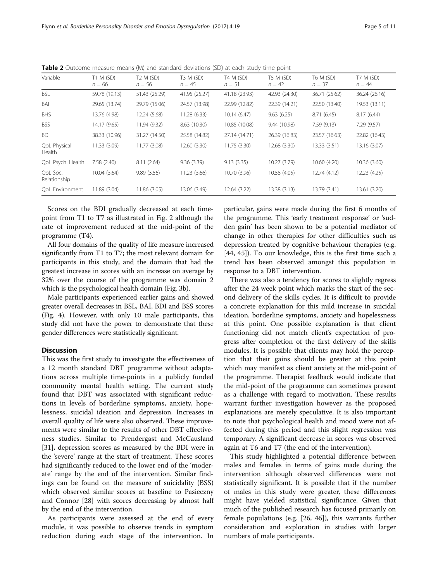| Variable                      | T1 M (SD)<br>$n = 66$ | T2 M (SD)<br>$n = 56$ | T3 M (SD)<br>$n = 45$ | T4 M (SD)<br>$n = 51$ | T5 M (SD)<br>$n = 42$ | T6 M (SD)<br>$n = 37$ | <b>T7 M (SD)</b><br>$n = 44$ |
|-------------------------------|-----------------------|-----------------------|-----------------------|-----------------------|-----------------------|-----------------------|------------------------------|
| <b>BSL</b>                    | 59.78 (19.13)         | 51.43 (25.29)         | 41.95 (25.27)         | 41.18 (23.93)         | 42.93 (24.30)         | 36.71 (25.62)         | 36.24 (26.16)                |
| BAI                           | 29.65 (13.74)         | 29.79 (15.06)         | 24.57 (13.98)         | 22.99 (12.82)         | 22.39 (14.21)         | 22.50 (13.40)         | 19.53 (13.11)                |
| <b>BHS</b>                    | 13.76 (4.98)          | 12.24 (5.68)          | 11.28 (6.33)          | 10.14(6.47)           | 9.63(6.25)            | 8.71(6.45)            | 8.17(6.44)                   |
| <b>BSS</b>                    | 14.17 (9.65)          | 11.94 (9.32)          | 8.63 (10.30)          | 10.85 (10.08)         | 9.44 (10.98)          | 7.59(9.13)            | 7.29(9.57)                   |
| <b>BDI</b>                    | 38.33 (10.96)         | 31.27 (14.50)         | 25.58 (14.82)         | 27.14 (14.71)         | 26.39 (16.83)         | 23.57 (16.63)         | 22.82 (16.43)                |
| <b>QoL Physical</b><br>Health | 11.33 (3.09)          | 11.77 (3.08)          | 12.60 (3.30)          | 11.75 (3.30)          | 12.68 (3.30)          | 13.33 (3.51)          | 13.16 (3.07)                 |
| QoL Psych. Health             | 7.58 (2.40)           | 8.11(2.64)            | 9.36(3.39)            | 9.13(3.35)            | 10.27 (3.79)          | 10.60 (4.20)          | 10.36 (3.60)                 |
| QoL Soc.<br>Relationship      | 10.04 (3.64)          | 9.89(3.56)            | 11.23 (3.66)          | 10.70 (3.96)          | 10.58 (4.05)          | 12.74 (4.12)          | 12.23 (4.25)                 |
| <b>QoL</b> Environment        | 11.89 (3.04)          | 11.86 (3.05)          | 13.06 (3.49)          | 12.64 (3.22)          | 13.38 (3.13)          | 13.79 (3.41)          | 13.61 (3.20)                 |

<span id="page-4-0"></span>Table 2 Outcome measure means (M) and standard deviations (SD) at each study time-point

Scores on the BDI gradually decreased at each timepoint from T1 to T7 as illustrated in Fig. [2](#page-6-0) although the rate of improvement reduced at the mid-point of the programme (T4).

All four domains of the quality of life measure increased significantly from T1 to T7; the most relevant domain for participants in this study, and the domain that had the greatest increase in scores with an increase on average by 32% over the course of the programme was domain 2 which is the psychological health domain (Fig. [3b](#page-7-0)).

Male participants experienced earlier gains and showed greater overall decreases in BSL, BAI, BDI and BSS scores (Fig. [4](#page-7-0)). However, with only 10 male participants, this study did not have the power to demonstrate that these gender differences were statistically significant.

## **Discussion**

This was the first study to investigate the effectiveness of a 12 month standard DBT programme without adaptations across multiple time-points in a publicly funded community mental health setting. The current study found that DBT was associated with significant reductions in levels of borderline symptoms, anxiety, hopelessness, suicidal ideation and depression. Increases in overall quality of life were also observed. These improvements were similar to the results of other DBT effectiveness studies. Similar to Prendergast and McCausland [[31\]](#page-9-0), depression scores as measured by the BDI were in the 'severe' range at the start of treatment. These scores had significantly reduced to the lower end of the 'moderate' range by the end of the intervention. Similar findings can be found on the measure of suicidality (BSS) which observed similar scores at baseline to Pasieczny and Connor [[28](#page-9-0)] with scores decreasing by almost half by the end of the intervention.

As participants were assessed at the end of every module, it was possible to observe trends in symptom reduction during each stage of the intervention. In particular, gains were made during the first 6 months of the programme. This 'early treatment response' or 'sudden gain' has been shown to be a potential mediator of change in other therapies for other difficulties such as depression treated by cognitive behaviour therapies (e.g. [[44, 45](#page-10-0)]). To our knowledge, this is the first time such a trend has been observed amongst this population in response to a DBT intervention.

There was also a tendency for scores to slightly regress after the 24 week point which marks the start of the second delivery of the skills cycles. It is difficult to provide a concrete explanation for this mild increase in suicidal ideation, borderline symptoms, anxiety and hopelessness at this point. One possible explanation is that client functioning did not match client's expectation of progress after completion of the first delivery of the skills modules. It is possible that clients may hold the perception that their gains should be greater at this point which may manifest as client anxiety at the mid-point of the programme. Therapist feedback would indicate that the mid-point of the programme can sometimes present as a challenge with regard to motivation. These results warrant further investigation however as the proposed explanations are merely speculative. It is also important to note that psychological health and mood were not affected during this period and this slight regression was temporary. A significant decrease in scores was observed again at T6 and T7 (the end of the intervention).

This study highlighted a potential difference between males and females in terms of gains made during the intervention although observed differences were not statistically significant. It is possible that if the number of males in this study were greater, these differences might have yielded statistical significance. Given that much of the published research has focused primarily on female populations (e.g. [\[26,](#page-9-0) [46](#page-10-0)]), this warrants further consideration and exploration in studies with larger numbers of male participants.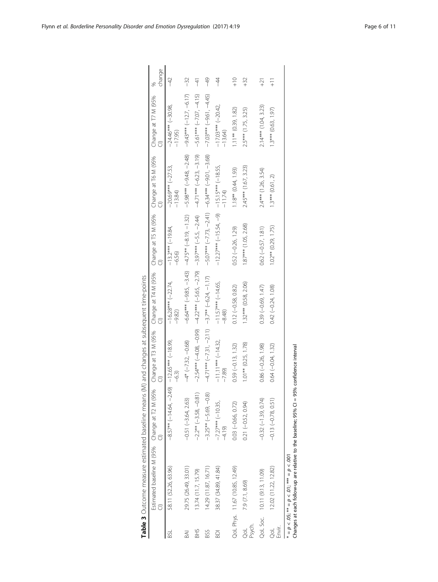<span id="page-5-0"></span>

|                          | Table 3 Outcome measure estimated baseline means                                                                                                                                                                                 |                                               | (M) and changes at subsequent time-points |                                                                                                                |                                                    |                                                         |                                  |                |
|--------------------------|----------------------------------------------------------------------------------------------------------------------------------------------------------------------------------------------------------------------------------|-----------------------------------------------|-------------------------------------------|----------------------------------------------------------------------------------------------------------------|----------------------------------------------------|---------------------------------------------------------|----------------------------------|----------------|
|                          | Estimated baseline M (95% - Change at T2 M (95% - Change at T4 M (95% - Change at T5 M (95% - Change at T6 M (95% -<br>Cl) - Cl) - Cl) - Cl) - Cl) - Cl) - Cl) - Cl) - Cl) - Cl) - Cl) - Cl) - Cl) - Cl) - Cl) - Cl) - Cl) - Cl) |                                               |                                           |                                                                                                                |                                                    |                                                         | Change at T7 M (95%              | change         |
| вsі                      | 58.11 (52.26, 63.96)                                                                                                                                                                                                             | $-8.57***$ (-14.64, -2.49) -12.65*** (-18.99, | $-6.3$                                    | $-16.28***$ (-22.74,<br>$-9.82$                                                                                | $-13.2***(-19.84,$<br>$-6.56$                      | $-20.69*** (-27.53,$<br>$-13.84$                        | $-24.46***$ (-30.98,<br>$-17.95$ | $-42$          |
| BAI                      | 29.75 (26.49, 33.01)                                                                                                                                                                                                             | $-0.51(-3.64, 2.63)$                          | $-4*(-7.32, -0.68)$                       |                                                                                                                | $-6.64***$ (-9.85, -3.43) $-4.75**$ (-8.19, -1.32) | $-5.98***(-9.48,-2.48)$                                 | $-9.43***$ $(-12.7, -6.17)$      | $-32$          |
| <b>SHS</b>               | 13.74 (11.7, 15.79)                                                                                                                                                                                                              | $-2.2**(-3.58, -0.81)$                        |                                           | $-2.54***$ $(-4.08, -0.99)$ $-4.22***$ $(-5.65, -2.79)$ $-3.97***$ $(-5.5, -2.44)$ $-4.71***$ $(-6.23, -3.19)$ |                                                    |                                                         | $-5.61***$ $(-7.07, -4.15)$      | $-41$          |
| BSS                      | 14.29 (11.87, 16.71)                                                                                                                                                                                                             | $-3.25** (-5.69, -0.8)$                       | $-4.71***$ $(-7.31, -2.11)$               | $-3.7**(-6.24, -1.17)$                                                                                         |                                                    | $-5.07***$ $(-7.73, -2.41)$ $-6.34***$ $(-9.01, -3.68)$ | $-7.03***$ $(-9.61, -4.45)$      | $-49$          |
| ā                        | 38.37 (34.89, 41.84)                                                                                                                                                                                                             | $-7.27***$ (-10.35,<br>$-4.19$                | $-11.11***$ (-14.32,<br>$-7.89$           | $-11.57***$ (-14.65,<br>$-8.48$                                                                                | $-12.27***$ (-15.54, -9) $-15.15***$ (-18.55,      | $-11.74$                                                | $-17.03***$ (-20.42)<br>$-13.64$ | $-44$          |
|                          | QoL Phys. 11.67 (10.85, 12.49)                                                                                                                                                                                                   | $0.03 (-0.66, 0.72)$                          | $0.59 (-0.13, 1.32)$                      | $0.12 (-0.58, 0.82)$                                                                                           | $0.52 (-0.26, 1.29)$                               | $1.18**$ $(0.44, 1.93)$                                 | $1.11**$ (0.39, 1.82)            | $-10$          |
| Psych.<br>g              | 7.9 (7.1, 8.69)                                                                                                                                                                                                                  | $0.21 (-0.52, 0.94)$                          | $1.01**$ (0.25, 1.78)                     | $1.32***$ (0.58, 2.06)                                                                                         | $1.87***$ $(1.05, 2.68)$                           | 2.45*** (1.67, 3.23)                                    | $2.5***$ (1.75, 3.25)            | $+32$          |
|                          | QoL Soc. 10.11 (9.13, 11.09)                                                                                                                                                                                                     | $-0.32(-1.39, 0.74)$                          | $0.86 (-0.26, 1.98)$                      | $0.39(-0.69, 1.47)$                                                                                            | $0.62 (-0.57, 1.81)$                               | $2.4***$ (1.26, 3.54)                                   | $2.14***$ (1.04, 3.23)           | $\overline{z}$ |
| Envir.<br>$\overline{Q}$ | 12.02 (11.22, 12.82)                                                                                                                                                                                                             | $-0.13(-0.78, 0.51)$                          | $0.64(-0.04, 1.32)$                       | $0.42 (-0.24, 1.08)$                                                                                           | $1.02**$ (0.29, 1.75)                              | $1.3***$ (0.61, 2)                                      | $1.3***$ (0.63, 1.97)            | $\frac{1}{1}$  |
|                          | $p < .05;$ ** $= p < .01;$ *** $= p < .001$                                                                                                                                                                                      |                                               |                                           |                                                                                                                |                                                    |                                                         |                                  |                |

Changes at each follow-up are relative to the baseline; 95% CI = 95% confidence interval

| Table 3 Outcome measure estimated baseline means (M) and changes at subsequent time-points |
|--------------------------------------------------------------------------------------------|
|                                                                                            |
|                                                                                            |
|                                                                                            |
|                                                                                            |
|                                                                                            |
|                                                                                            |
|                                                                                            |
|                                                                                            |
|                                                                                            |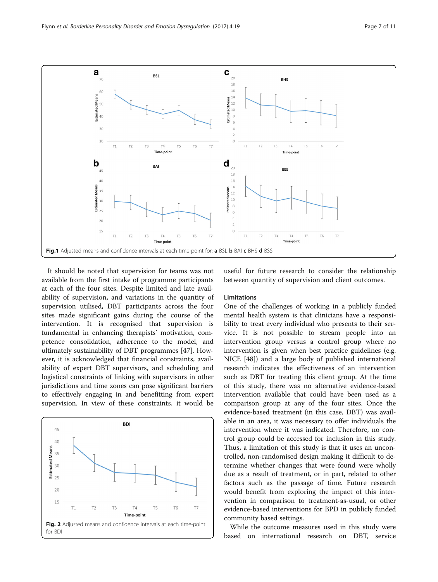<span id="page-6-0"></span>

It should be noted that supervision for teams was not available from the first intake of programme participants at each of the four sites. Despite limited and late availability of supervision, and variations in the quantity of supervision utilised, DBT participants across the four sites made significant gains during the course of the intervention. It is recognised that supervision is fundamental in enhancing therapists' motivation, competence consolidation, adherence to the model, and ultimately sustainability of DBT programmes [[47\]](#page-10-0). However, it is acknowledged that financial constraints, availability of expert DBT supervisors, and scheduling and logistical constraints of linking with supervisors in other jurisdictions and time zones can pose significant barriers to effectively engaging in and benefitting from expert supervision. In view of these constraints, it would be



useful for future research to consider the relationship between quantity of supervision and client outcomes.

## Limitations

One of the challenges of working in a publicly funded mental health system is that clinicians have a responsibility to treat every individual who presents to their service. It is not possible to stream people into an intervention group versus a control group where no intervention is given when best practice guidelines (e.g. NICE [[48\]](#page-10-0)) and a large body of published international research indicates the effectiveness of an intervention such as DBT for treating this client group. At the time of this study, there was no alternative evidence-based intervention available that could have been used as a comparison group at any of the four sites. Once the evidence-based treatment (in this case, DBT) was available in an area, it was necessary to offer individuals the intervention where it was indicated. Therefore, no control group could be accessed for inclusion in this study. Thus, a limitation of this study is that it uses an uncontrolled, non-randomised design making it difficult to determine whether changes that were found were wholly due as a result of treatment, or in part, related to other factors such as the passage of time. Future research would benefit from exploring the impact of this intervention in comparison to treatment-as-usual, or other evidence-based interventions for BPD in publicly funded community based settings.

While the outcome measures used in this study were based on international research on DBT, service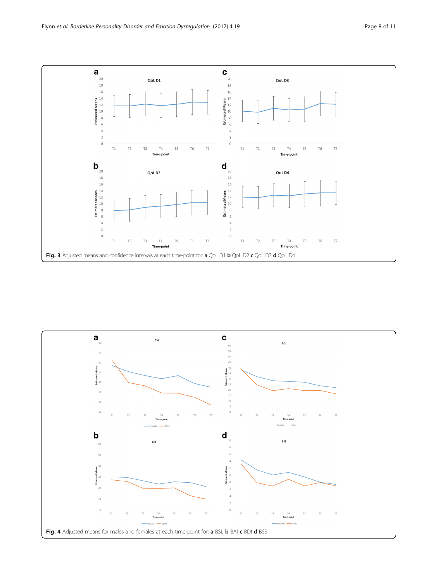<span id="page-7-0"></span>

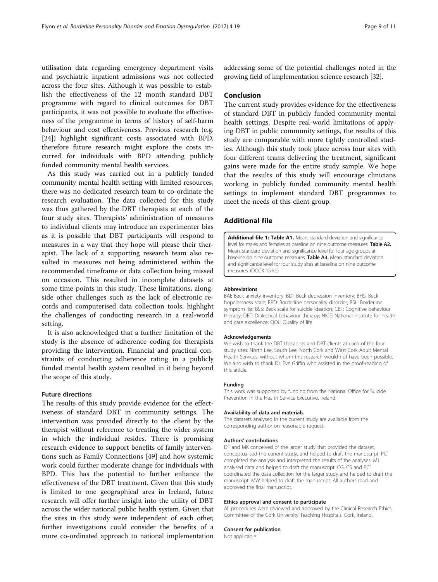<span id="page-8-0"></span>utilisation data regarding emergency department visits and psychiatric inpatient admissions was not collected across the four sites. Although it was possible to establish the effectiveness of the 12 month standard DBT programme with regard to clinical outcomes for DBT participants, it was not possible to evaluate the effectiveness of the programme in terms of history of self-harm behaviour and cost effectiveness. Previous research (e.g. [[24\]](#page-9-0)) highlight significant costs associated with BPD, therefore future research might explore the costs incurred for individuals with BPD attending publicly funded community mental health services.

As this study was carried out in a publicly funded community mental health setting with limited resources, there was no dedicated research team to co-ordinate the research evaluation. The data collected for this study was thus gathered by the DBT therapists at each of the four study sites. Therapists' administration of measures to individual clients may introduce an experimenter bias as it is possible that DBT participants will respond to measures in a way that they hope will please their therapist. The lack of a supporting research team also resulted in measures not being administered within the recommended timeframe or data collection being missed on occasion. This resulted in incomplete datasets at some time-points in this study. These limitations, alongside other challenges such as the lack of electronic records and computerised data collection tools, highlight the challenges of conducting research in a real-world setting.

It is also acknowledged that a further limitation of the study is the absence of adherence coding for therapists providing the intervention. Financial and practical constraints of conducting adherence rating in a publicly funded mental health system resulted in it being beyond the scope of this study.

## Future directions

The results of this study provide evidence for the effectiveness of standard DBT in community settings. The intervention was provided directly to the client by the therapist without reference to treating the wider system in which the individual resides. There is promising research evidence to support benefits of family interventions such as Family Connections [\[49\]](#page-10-0) and how systemic work could further moderate change for individuals with BPD. This has the potential to further enhance the effectiveness of the DBT treatment. Given that this study is limited to one geographical area in Ireland, future research will offer further insight into the utility of DBT across the wider national public health system. Given that the sites in this study were independent of each other, further investigations could consider the benefits of a more co-ordinated approach to national implementation

## Conclusion

The current study provides evidence for the effectiveness of standard DBT in publicly funded community mental health settings. Despite real-world limitations of applying DBT in public community settings, the results of this study are comparable with more tightly controlled studies. Although this study took place across four sites with four different teams delivering the treatment, significant gains were made for the entire study sample. We hope that the results of this study will encourage clinicians working in publicly funded community mental health settings to implement standard DBT programmes to meet the needs of this client group.

## Additional file

[Additional file 1: Table A1.](dx.doi.org/10.1186/s40479-017-0070-8) Mean, standard deviation and significance level for males and females at baseline on nine outcome measures. Table A2. Mean, standard deviation and significance level for four age groups at baseline on nine outcome measures. Table A3. Mean, standard deviation and significance level for four study sites at baseline on nine outcome measures. (DOCX 15 kb)

#### Abbreviations

BAI: Beck anxiety inventory; BDI: Beck depression inventory; BHS: Beck hopelessness scale; BPD: Borderline personality disorder; BSL: Borderline symptom list; BSS: Beck scale for suicide ideation; CBT: Cognitive behaviour therapy; DBT: Dialectical behaviour therapy; NICE: National institute for health and care excellence; QOL: Quality of life

#### Acknowledgements

We wish to thank the DBT therapists and DBT clients at each of the four study sites: North Lee, South Lee, North Cork and West Cork Adult Mental Health Services, without whom this research would not have been possible. We also wish to thank Dr. Eve Griffin who assisted in the proof-reading of this article.

#### Funding

This work was supported by funding from the National Office for Suicide Prevention in the Health Service Executive, Ireland.

#### Availability of data and materials

The datasets analysed in the current study are available from the corresponding author on reasonable request.

#### Authors' contributions

DF and MK conceived of the larger study that provided the dataset, conceptualised the current study, and helped to draft the manuscript.  $PC<sup>1</sup>$ completed the analysis and interpreted the results of the analyses. MJ analysed data and helped to draft the manuscript. CG, CS and  $PC<sup>2</sup>$ coordinated the data collection for the larger study and helped to draft the manuscript. MW helped to draft the manuscript. All authors read and approved the final manuscript.

#### Ethics approval and consent to participate

All procedures were reviewed and approved by the Clinical Research Ethics Committee of the Cork University Teaching Hospitals, Cork, Ireland.

#### Consent for publication

Not applicable.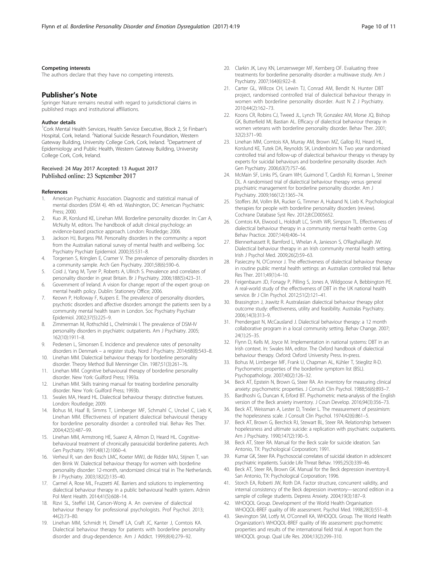#### <span id="page-9-0"></span>Competing interests

The authors declare that they have no competing interests.

#### Publisher's Note

Springer Nature remains neutral with regard to jurisdictional claims in published maps and institutional affiliations.

#### Author details

<sup>1</sup>Cork Mental Health Services, Health Service Executive, Block 2, St Finbarr's Hospital, Cork, Ireland. <sup>2</sup>National Suicide Research Foundation, Western Gateway Building, University College Cork, Cork, Ireland. <sup>3</sup>Department of Epidemiology and Public Health, Western Gateway Building, University College Cork, Cork, Ireland.

#### Received: 24 May 2017 Accepted: 13 August 2017 Published online: 23 September 2017

#### References

- 1. American Psychiatric Association. Diagnostic and statistical manual of mental disorders (DSM 4). 4th ed. Washington, DC: American Psychiatric Press; 2000.
- 2. Kuo JR, Korslund KE, Linehan MM. Borderline personality disorder. In: Carr A, McNulty M, editors. The handbook of adult clinical psychology: an evidence-based practice approach. London: Routledge; 2006.
- 3. Jackson HJ, Burgess PM. Personality disorders in the community: a report from the Australian national survey of mental health and wellbeing. Soc Psychiatry Psychiatr Epidemiol. 2000;35:531–8.
- 4. Torgersen S, Kringlen E, Cramer V. The prevalence of personality disorders in a community sample. Arch Gen Psychiatry. 2001;58(6):590–6.
- 5. Coid J, Yang M, Tyrer P, Roberts A, Ullrich S. Prevalence and correlates of personality disorder in great Britain. Br J Psychiatry. 2006;188(5):423–31.
- 6. Government of Ireland. A vision for change: report of the expert group on mental health policy. Dublin: Stationery Office; 2006.
- 7. Keown P, Holloway F, Kuipers E. The prevalence of personality disorders, psychotic disorders and affective disorders amongst the patients seen by a community mental health team in London. Soc Psychiatry Psychiatr Epidemiol. 2002;37(5):225–9.
- 8. Zimmerman M, Rothschild L, Chelminski I. The prevalence of DSM-IV personality disorders in psychiatric outpatients. Am J Psychiatry. 2005; 162(10):1911–8.
- 9. Pedersen L, Simonsen E. Incidence and prevalence rates of personality disorders in Denmark – a register study. Nord J Psychiatry. 2014;68(8):543–8.
- 10. Linehan MM. Dialectical behaviour therapy for borderline personality disorder. Theory Method Bull Menninger Clin. 1987;51(3):261–76.
- 11. Linehan MM. Cognitive behavioural therapy of borderline personality disorder. New York: Guilford Press; 1993a.
- 12. Linehan MM. Skills training manual for treating borderline personality disorder. New York: Guilford Press; 1993b.
- 13. Swales MA, Heard HL. Dialectical behaviour therapy: distinctive features. London: Routledge; 2009.
- 14. Bohus M, Haaf B, Simms T, Limberger MF, Schmahl C, Unckel C, Lieb K, Linehan MM. Effectiveness of inpatient dialectical behavioural therapy for borderline personality disorder: a controlled trial. Behav Res Ther. 2004;42(5):487–99.
- 15. Linehan MM, Armstrong HE, Suarez A, Allmon D, Heard HL. Cognitivebehavioural treatment of chronically parasuicidal borderline patients. Arch Gen Psychiatry. 1991;48(12):1060–4.
- 16. Verheul R, van den Bosch LMC, Koeter MWJ, de Ridder MAJ, Stijnen T, van den Brink W. Dialectical behaviour therapy for women with borderline personality disorder: 12-month, randomized clinical trial in The Netherlands. Br J Psychiatry. 2003;182(2):135–40.
- 17. Carmel A, Rose ML, Fruzzetti AE. Barriers and solutions to implementing dialectical behaviour therapy in a public behavioural health system. Admin Pol Ment Health. 2014;41(5):608–14.
- 18. Rizvi SL, Steffel LM, Carson-Wong A. An overview of dialectical behaviour therapy for professional psychologists. Prof Psychol. 2013; 44(2):73–80.
- 19. Linehan MM, Schmidt H, Dimeff LA, Craft JC, Kanter J, Comtois KA. Dialectical behaviour therapy for patients with borderline personality disorder and drug-dependence. Am J Addict. 1999;8(4):279–92.
- 20. Clarkin JK, Levy KN, Lenzenweger MF, Kernberg OF. Evaluating three treatments for borderline personality disorder: a multiwave study. Am J Psychiatry. 2007;164(6):922–8.
- 21. Carter GL, Willcox CH, Lewin TJ, Conrad AM, Bendit N. Hunter DBT project, randomised controlled trial of dialectical behaviour therapy in women with borderline personality disorder. Aust N Z J Psychiatry. 2010;44(2):162–73.
- 22. Koons CR, Robins CJ, Tweed JL, Lynch TR, Gonzalez AM, Morse JQ, Bishop GK, Butterfield MI, Bastian AL. Efficacy of dialectical behaviour therapy in women veterans with borderline personality disorder. Behav Ther. 2001; 32(2):371–90.
- 23. Linehan MM, Comtois KA, Murray AM, Brown MZ, Gallop RJ, Heard HL, Korslund KE, Tutek DA, Reynolds SK, Lindenboim N. Two year randomised controlled trial and follow-up of dialectical behaviour therapy vs therapy by experts for suicidal behaviours and borderline personality disorder. Arch Gen Psychiatry. 2006;63(7):757–66.
- 24. McMain SF, Links PS, Gnam WH, Guimond T, Cardish RJ, Korman L, Streiner DL. A randomised trial of dialectical behaviour therapy versus general psychiatric management for borderline personality disorder. Am J Psychiatry. 2009;166(12):1365–74.
- 25. Stoffers JM, Vollm BA, Rucker G, Timmer A, Huband N, Lieb K. Psychological therapies for people with borderline personality disorders (review). Cochrane Database Syst Rev. 2012;8:CD005652.
- 26. Comtois KA, Elwood L, Holdraft LC, Smith WR, Simpson TL. Effectiveness of dialectical behaviour therapy in a community mental health centre. Cog Behav Practice. 2007;14(4):406–14.
- 27. Blennerhassett R, Bamford L, Whelan A, Janieson S, O'Raghaillaigh JW. Dialectical behaviour therapy in an Irish community mental health setting. Irish J Psychol Med. 2009;26(2):59–63.
- 28. Pasieczny N, O'Connor J. The effectiveness of dialectical behaviour therapy in routine public mental health settings: an Australian controlled trial. Behav Res Ther. 2011;49(1):4–10.
- 29. Feigenbaum JD, Fonagy P, Pilling S, Jones A, Wildgoose A, Bebbington PE. A real-world study of the effectiveness of DBT in the UK national health service. Br J Clin Psychol. 2012;51(2):121–41.
- 30. Brassington J, Jrawitz R. Australasian dialectical behaviour therapy pilot outcome study: effectiveness, utility and feasibility. Australas Psychiatry. 2006;14(3):313–9.
- 31. Prendergast N, McCausland J. Dialectical behaviour therapy: a 12 month collaborative program in a local community setting. Behav Change. 2007; 24(1):25–35.
- 32. Flynn D, Kells M, Joyce M. Implementation in national systems: DBT in an Irish context. In: Swales MA, editor. The Oxford handbook of dialectical behaviour therapy. Oxford: Oxford University Press. In-press.
- 33. Bohus M, Limberger MF, Frank U, Chapman AL, Kühler T, Stieglitz R-D. Psychometric properties of the borderline symptom list (BSL). Psychopathology. 2007;40(2):126–32.
- 34. Beck AT, Epstein N, Brown G, Steer RA. An inventory for measuring clinical anxiety: psychometric properties. J Consult Clin Psychol. 1988;56(6):893–7.
- 35. Bardhoshi G, Duncan K, Erford BT. Psychometric meta-analysis of the English version of the Beck anxiety inventory. J Coun Develop. 2016;94(3):356–73.
- 36. Beck AT, Weissman A, Lester D, Trexler L. The measurement of pessimism: the hopelessness scale. J Consult Clin Psychol. 1974;42(6):861–5.
- 37. Beck AT, Brown G, Berchick RJ, Stewart BL, Steer RA. Relationship between hopelessness and ultimate suicide: a replication with psychiatric outpatients. Am J Psychiatry. 1990;147(2):190–5.
- 38. Beck AT, Steer RA. Manual for the Beck scale for suicide ideation. San Antonio, TX: Psychological Corporation; 1991.
- 39. Kumar GK, Steer RA. Psychosocial correlates of suicidal ideation in adolescent psychiatric inpatients. Suicide Life Threat Behav. 1995;25(3):339–46.
- 40. Beck AT, Steer RA, Brown GK. Manual for the Beck depression inventory-II. San Antonio, TX: Psychological Corporation; 1996.
- 41. Storch EA, Roberti JW, Roth DA. Factor structure, concurrent validity, and internal consistency of the Beck depression inventory—second edition in a sample of college students. Depress Anxiety. 2004;19(3):187–9.
- 42. WHOQOL Group. Development of the World Health Organisation WHOQOL-BREF quality of life assessment. Psychol Med. 1998;28(3):551–8.
- 43. Skevington SM, Lotfy M, O'Connell KA, WHOQOL Group. The World Health Organization's WHOQOL-BREF quality of life assessment: psychometric properties and results of the international field trial. A report from the WHOQOL group. Qual Life Res. 2004;13(2):299–310.